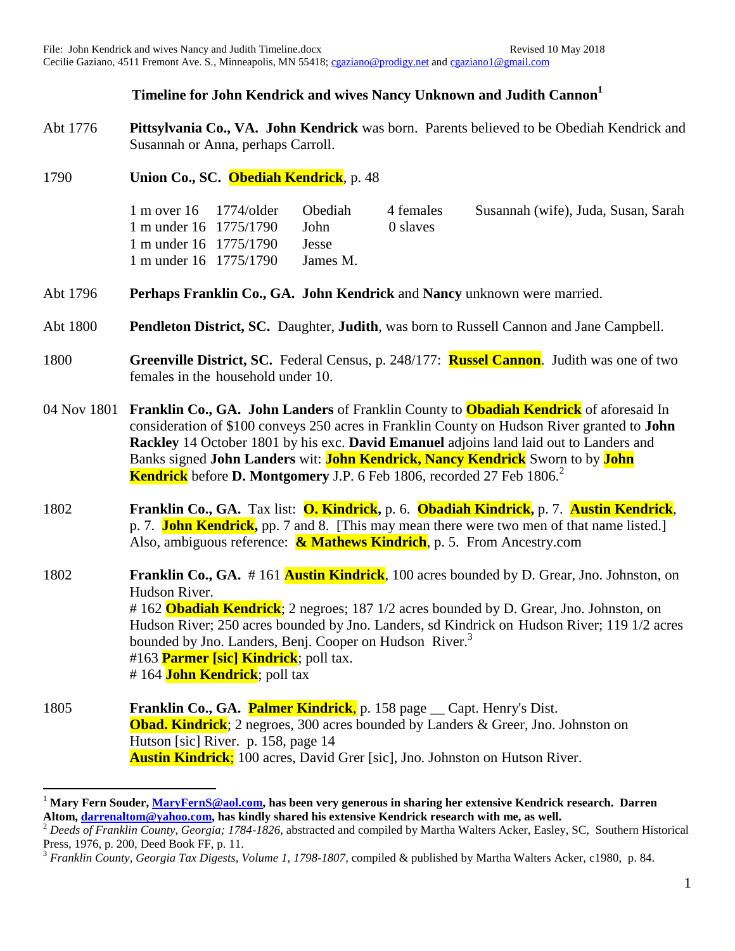## **Timeline for John Kendrick and wives Nancy Unknown and Judith Cannon<sup>1</sup>**

- Abt 1776 **Pittsylvania Co., VA. John Kendrick** was born. Parents believed to be Obediah Kendrick and Susannah or Anna, perhaps Carroll.
- 1790 **Union Co., SC. Obediah Kendrick**, p. 48

 $\overline{a}$ 

1 m over 16 1774/older Obediah 4 females Susannah (wife), Juda, Susan, Sarah 1 m under 16 1775/1790 John 0 slaves 1 m under 16 1775/1790 Jesse 1 m under 16 1775/1790 James M.

- Abt 1796 **Perhaps Franklin Co., GA. John Kendrick** and **Nancy** unknown were married.
- Abt 1800 **Pendleton District, SC.** Daughter, **Judith**, was born to Russell Cannon and Jane Campbell.
- 1800 **Greenville District, SC.** Federal Census, p. 248/177: **Russel Cannon**. Judith was one of two females in the household under 10.
- 04 Nov 1801 **Franklin Co., GA. John Landers** of Franklin County to **Obadiah Kendrick** of aforesaid In consideration of \$100 conveys 250 acres in Franklin County on Hudson River granted to **John Rackley** 14 October 1801 by his exc. **David Emanuel** adjoins land laid out to Landers and Banks signed **John Landers** wit: **John Kendrick, Nancy Kendrick** Sworn to by **John Kendrick** before **D. Montgomery** J.P. 6 Feb 1806, recorded 27 Feb 1806.<sup>2</sup>
- 1802 **Franklin Co., GA.** Tax list: **O. Kindrick,** p. 6. **Obadiah Kindrick,** p. 7. **Austin Kendrick**, p. 7. **John Kendrick,** pp. 7 and 8. [This may mean there were two men of that name listed.] Also, ambiguous reference: **& Mathews Kindrich**, p. 5. From Ancestry.com

1802 **Franklin Co., GA.** # 161 **Austin Kindrick**, 100 acres bounded by D. Grear, Jno. Johnston, on Hudson River. # 162 **Obadiah Kendrick**; 2 negroes; 187 1/2 acres bounded by D. Grear, Jno. Johnston, on Hudson River; 250 acres bounded by Jno. Landers, sd Kindrick on Hudson River; 119 1/2 acres bounded by Jno. Landers, Benj. Cooper on Hudson River.<sup>3</sup> #163 **Parmer [sic] Kindrick**; poll tax. # 164 **John Kendrick**; poll tax

1805 **Franklin Co., GA. Palmer Kindrick**, p. 158 page \_\_ Capt. Henry's Dist. **Obad. Kindrick**; 2 negroes, 300 acres bounded by Landers & Greer, Jno. Johnston on Hutson [sic] River. p. 158, page 14 **Austin Kindrick**; 100 acres, David Grer [sic], Jno. Johnston on Hutson River.

<sup>1</sup> **Mary Fern Souder[, MaryFernS@aol.com,](mailto:MaryFernS@aol.com) has been very generous in sharing her extensive Kendrick research. Darren Altom, [darrenaltom@yahoo.com,](mailto:darrenaltom@yahoo.com) has kindly shared his extensive Kendrick research with me, as well.**

<sup>&</sup>lt;sup>2</sup> Deeds of Franklin County, Georgia; 1784-1826, abstracted and compiled by Martha Walters Acker, Easley, SC, Southern Historical Press, 1976, p. 200, Deed Book FF, p. 11.

<sup>3</sup> *Franklin County, Georgia Tax Digests, Volume 1, 1798-1807*, compiled & published by Martha Walters Acker, c1980, p. 84.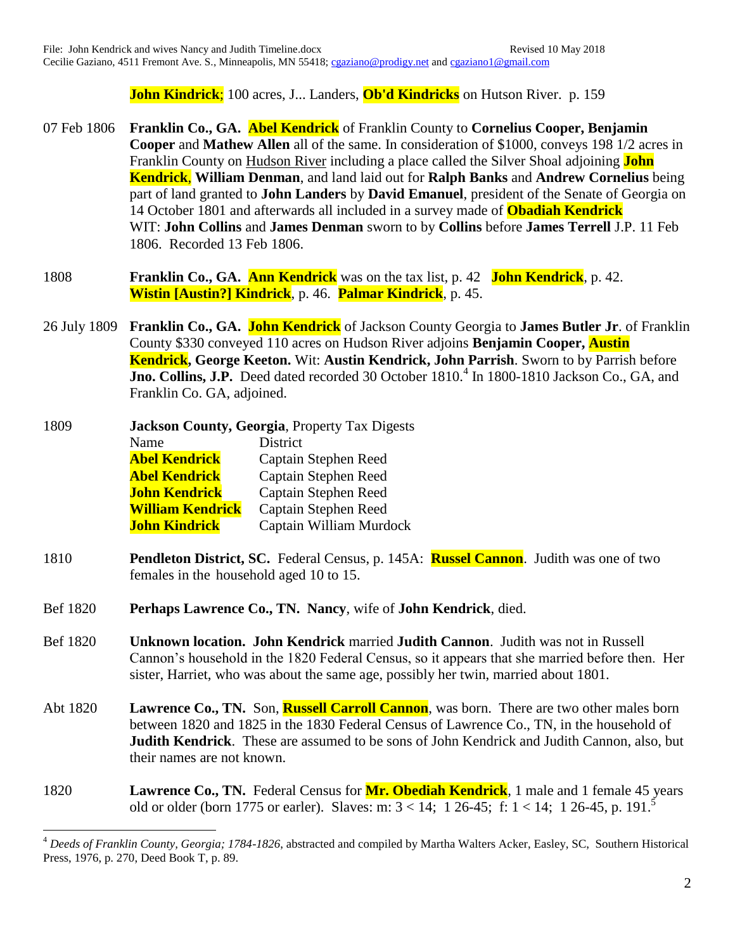**John Kindrick**; 100 acres, J... Landers, **Ob'd Kindricks** on Hutson River. p. 159

- 07 Feb 1806 **Franklin Co., GA. Abel Kendrick** of Franklin County to **Cornelius Cooper, Benjamin Cooper** and **Mathew Allen** all of the same. In consideration of \$1000, conveys 198 1/2 acres in Franklin County on Hudson River including a place called the Silver Shoal adjoining **John Kendrick**, **William Denman**, and land laid out for **Ralph Banks** and **Andrew Cornelius** being part of land granted to **John Landers** by **David Emanuel**, president of the Senate of Georgia on 14 October 1801 and afterwards all included in a survey made of **Obadiah Kendrick** WIT: **John Collins** and **James Denman** sworn to by **Collins** before **James Terrell** J.P. 11 Feb 1806. Recorded 13 Feb 1806.
- 1808 **Franklin Co., GA. Ann Kendrick** was on the tax list, p. 42 **John Kendrick**, p. 42. **Wistin [Austin?] Kindrick**, p. 46. **Palmar Kindrick**, p. 45.
- 26 July 1809 **Franklin Co., GA. John Kendrick** of Jackson County Georgia to **James Butler Jr**. of Franklin County \$330 conveyed 110 acres on Hudson River adjoins **Benjamin Cooper, Austin Kendrick, George Keeton.** Wit: **Austin Kendrick, John Parrish**. Sworn to by Parrish before Jno. Collins, J.P. Deed dated recorded 30 October 1810.<sup>4</sup> In 1800-1810 Jackson Co., GA, and Franklin Co. GA, adjoined.

| 1809 | <b>Jackson County, Georgia, Property Tax Digests</b> |                         |
|------|------------------------------------------------------|-------------------------|
|      | Name                                                 | <b>District</b>         |
|      | <b>Abel Kendrick</b>                                 | Captain Stephen Reed    |
|      | <b>Abel Kendrick</b>                                 | Captain Stephen Reed    |
|      | <b>John Kendrick</b>                                 | Captain Stephen Reed    |
|      | <b>William Kendrick</b>                              | Captain Stephen Reed    |
|      | <b>John Kindrick</b>                                 | Captain William Murdock |

 $\overline{a}$ 

- 1810 **Pendleton District, SC.** Federal Census, p. 145A: **Russel Cannon**. Judith was one of two females in the household aged 10 to 15.
- Bef 1820 **Perhaps Lawrence Co., TN. Nancy**, wife of **John Kendrick**, died.
- Bef 1820 **Unknown location. John Kendrick** married **Judith Cannon**. Judith was not in Russell Cannon's household in the 1820 Federal Census, so it appears that she married before then. Her sister, Harriet, who was about the same age, possibly her twin, married about 1801.
- Abt 1820 **Lawrence Co., TN.** Son, **Russell Carroll Cannon**, was born. There are two other males born between 1820 and 1825 in the 1830 Federal Census of Lawrence Co., TN, in the household of **Judith Kendrick**. These are assumed to be sons of John Kendrick and Judith Cannon, also, but their names are not known.
- 1820 **Lawrence Co., TN.** Federal Census for **Mr. Obediah Kendrick**, 1 male and 1 female 45 years old or older (born 1775 or earler). Slaves: m:  $3 < 14$ ; 1 26-45; f: 1 < 14; 1 26-45, p. 191.<sup>5</sup>

<sup>4</sup> *Deeds of Franklin County, Georgia; 1784-1826*, abstracted and compiled by Martha Walters Acker, Easley, SC, Southern Historical Press, 1976, p. 270, Deed Book T, p. 89.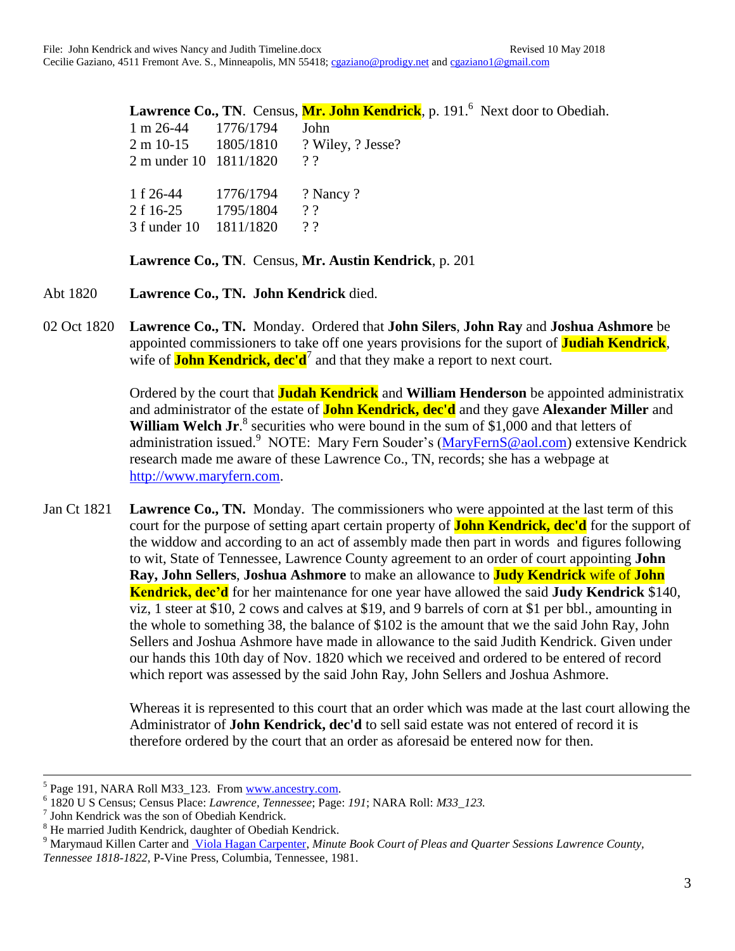|                                  |                               | Lawrence Co., TN. Census, Mr. John Kendrick, p. 191. <sup>6</sup> Next door to Obediah. |
|----------------------------------|-------------------------------|-----------------------------------------------------------------------------------------|
| $1 \text{ m } 26-44$ $1776/1794$ |                               | John                                                                                    |
|                                  |                               | 2 m 10-15 1805/1810 ? Wiley, ? Jesse?                                                   |
| 2 m under 10 1811/1820           |                               | 22                                                                                      |
|                                  | 1 f 26-44 1776/1794 ? Nancy ? |                                                                                         |
| 2 f 16-25 1795/1804              |                               | 22                                                                                      |
| 3 f under 10 1811/1820           |                               | 22                                                                                      |

**Lawrence Co., TN**. Census, **Mr. Austin Kendrick**, p. 201

- Abt 1820 **Lawrence Co., TN. John Kendrick** died.
- 02 Oct 1820 **Lawrence Co., TN.** Monday. Ordered that **John Silers**, **John Ray** and **Joshua Ashmore** be appointed commissioners to take off one years provisions for the suport of **Judiah Kendrick**, wife of **John Kendrick, dec'd**<sup>7</sup> and that they make a report to next court.

Ordered by the court that **Judah Kendrick** and **William Henderson** be appointed administratix and administrator of the estate of **John Kendrick, dec'd** and they gave **Alexander Miller** and William Welch Jr.<sup>8</sup> securities who were bound in the sum of \$1,000 and that letters of administration issued.<sup>9</sup> NOTE: Mary Fern Souder's [\(MaryFernS@aol.com\)](mailto:MaryFernS@aol.com) extensive Kendrick research made me aware of these Lawrence Co., TN, records; she has a webpage at [http://www.maryfern.com.](http://www.maryfern.com/)

Jan Ct 1821 **Lawrence Co., TN.** Monday. The commissioners who were appointed at the last term of this court for the purpose of setting apart certain property of **John Kendrick, dec'd** for the support of the widdow and according to an act of assembly made then part in words and figures following to wit, State of Tennessee, Lawrence County agreement to an order of court appointing **John Ray, John Sellers**, **Joshua Ashmore** to make an allowance to **Judy Kendrick** wife of **John Kendrick, dec'd** for her maintenance for one year have allowed the said **Judy Kendrick** \$140, viz, 1 steer at \$10, 2 cows and calves at \$19, and 9 barrels of corn at \$1 per bbl., amounting in the whole to something 38, the balance of \$102 is the amount that we the said John Ray, John Sellers and Joshua Ashmore have made in allowance to the said Judith Kendrick. Given under our hands this 10th day of Nov. 1820 which we received and ordered to be entered of record which report was assessed by the said John Ray, John Sellers and Joshua Ashmore.

> Whereas it is represented to this court that an order which was made at the last court allowing the Administrator of **John Kendrick, dec'd** to sell said estate was not entered of record it is therefore ordered by the court that an order as aforesaid be entered now for then.

 $\overline{a}$ 

<sup>&</sup>lt;sup>5</sup> Page 191, NARA Roll M33\_123. From [www.ancestry.com.](http://www.ancestry.com/)

<sup>6</sup> 1820 U S Census; Census Place: *Lawrence, Tennessee*; Page: *191*; NARA Roll: *M33\_123.*

<sup>7</sup> John Kendrick was the son of Obediah Kendrick.

<sup>8</sup> He married Judith Kendrick, daughter of Obediah Kendrick.

<sup>&</sup>lt;sup>9</sup> Marymaud Killen Carter and *Viola Hagan Carpenter, Minute Book Court of Pleas and Quarter Sessions Lawrence County, Tennessee 1818-1822*, P-Vine Press, Columbia, Tennessee, 1981.